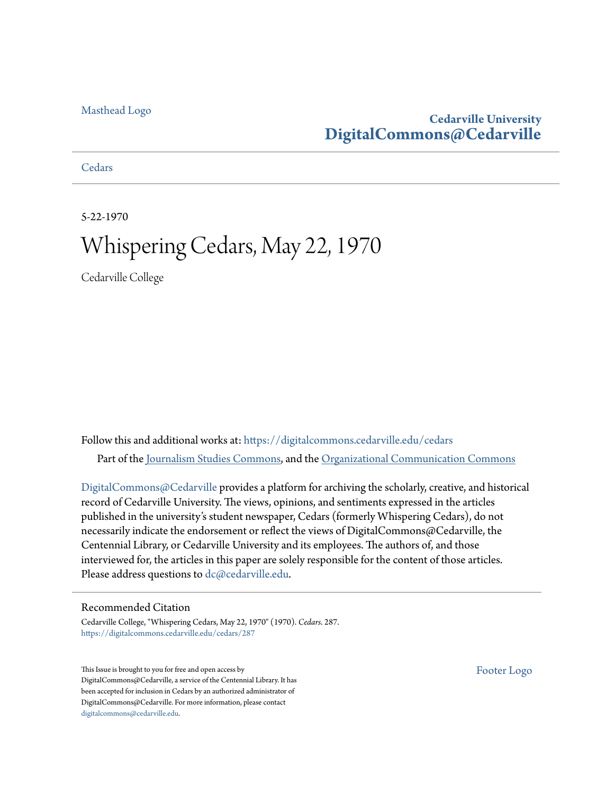#### [Masthead Logo](http://www.cedarville.edu/?utm_source=digitalcommons.cedarville.edu%2Fcedars%2F287&utm_medium=PDF&utm_campaign=PDFCoverPages)

#### **Cedarville University [DigitalCommons@Cedarville](https://digitalcommons.cedarville.edu?utm_source=digitalcommons.cedarville.edu%2Fcedars%2F287&utm_medium=PDF&utm_campaign=PDFCoverPages)**

**[Cedars](https://digitalcommons.cedarville.edu/cedars?utm_source=digitalcommons.cedarville.edu%2Fcedars%2F287&utm_medium=PDF&utm_campaign=PDFCoverPages)** 

5-22-1970

## Whispering Cedars, May 22, 1970

Cedarville College

Follow this and additional works at: [https://digitalcommons.cedarville.edu/cedars](https://digitalcommons.cedarville.edu/cedars?utm_source=digitalcommons.cedarville.edu%2Fcedars%2F287&utm_medium=PDF&utm_campaign=PDFCoverPages) Part of the [Journalism Studies Commons](http://network.bepress.com/hgg/discipline/333?utm_source=digitalcommons.cedarville.edu%2Fcedars%2F287&utm_medium=PDF&utm_campaign=PDFCoverPages), and the [Organizational Communication Commons](http://network.bepress.com/hgg/discipline/335?utm_source=digitalcommons.cedarville.edu%2Fcedars%2F287&utm_medium=PDF&utm_campaign=PDFCoverPages)

[DigitalCommons@Cedarville](http://digitalcommons.cedarville.edu/) provides a platform for archiving the scholarly, creative, and historical record of Cedarville University. The views, opinions, and sentiments expressed in the articles published in the university's student newspaper, Cedars (formerly Whispering Cedars), do not necessarily indicate the endorsement or reflect the views of DigitalCommons@Cedarville, the Centennial Library, or Cedarville University and its employees. The authors of, and those interviewed for, the articles in this paper are solely responsible for the content of those articles. Please address questions to [dc@cedarville.edu.](mailto:dc@cedarville.edu)

#### Recommended Citation

Cedarville College, "Whispering Cedars, May 22, 1970" (1970). *Cedars*. 287. [https://digitalcommons.cedarville.edu/cedars/287](https://digitalcommons.cedarville.edu/cedars/287?utm_source=digitalcommons.cedarville.edu%2Fcedars%2F287&utm_medium=PDF&utm_campaign=PDFCoverPages)

This Issue is brought to you for free and open access by DigitalCommons@Cedarville, a service of the Centennial Library. It has been accepted for inclusion in Cedars by an authorized administrator of DigitalCommons@Cedarville. For more information, please contact [digitalcommons@cedarville.edu](mailto:digitalcommons@cedarville.edu).

[Footer Logo](http://www.cedarville.edu/Academics/Library.aspx?utm_source=digitalcommons.cedarville.edu%2Fcedars%2F287&utm_medium=PDF&utm_campaign=PDFCoverPages)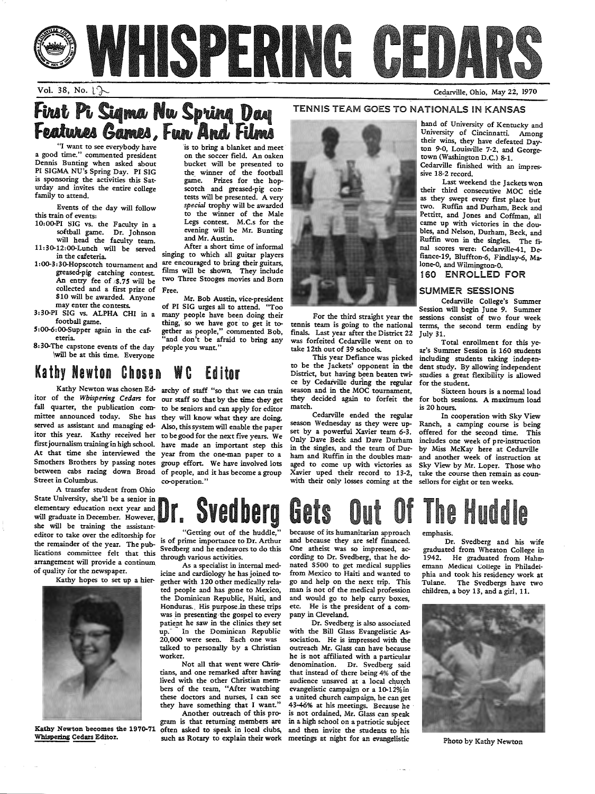

#### Vol. 38, No.  $\downarrow$   $\sim$

### First Pi Sigma Nw Spring Day Features Games, Fun<sup>'</sup>And<sup>'</sup>Films

"I want to see everybody have <sup>a</sup>good time." commented president Dennis Bunting when asked about PI SIGMA NU's Spring Day. PI SIG is sponsoring the activities this Saturday and invites the entire college family to attend.

Events of the day will follow this train of events:

 10:00-PI SIG vs. the Faculty in a softball game. Dr. Johnson will head the faculty team.

11:30-12:00-Lunch will be served in the cafeteria. 1:00-3:30-Hopscotch tournament and

greased-pig catching contest. An entry fee of *1\$.75* will be collected and a first prize of \$10 will be awarded. Anyone may enter the contests.

3:30-PI SIG vs. ALPHA CHI in a football game.

5:00-6:00-Supper again in the caf· eteria.

 $8:30$ -The capstone events of the day \will be at this time. Everyone

#### Kathy Newton Chosen WC Editor

fall quarter, the publication committee announced today. She has Street in Columbus.

A transfer student from Ohio State University, she'll be a senior in elementary education next year and will graduate in December. However, she will be training the assistanteditor to take over the editorship for the remainder of the year. The publications committee felt that this arrangement will provide a continum. of quality for the newspaper.

Kathy hopes to set up a hier-



Kathy Newton becomes the 1970-71 Whispering Cedars Editor.

is to bring a blanket and meet on the soccer field. An oaken bucket will be presented to the winner of the football game. Prizes for the hopscotch and greased-pig contests will be presented. A very *special* trophy will be awarded to the winner of the Male Legs contest. M.C.s for the evening will be Mr. Bunting and Mr. Austin.

After a short time of informal singing to which all guitar players are encouraged to bring their guitars, films will be shown. They include two Three Stooges movies and Born Free.

Mr. Bob Austin, vice-president of PI SIG urges all to attend. "Too many people have been doing their thing, so we have got to get it together as people," commented Bob, and don't be afraid to bring any people you want."

Kathy Newton was chosen Ed-archy of staff "so that we can train itor of the *Whispering Cedars* for our staff so that by the time they get served as assistant and managing ed-Also, this system will enable the paper itor this year. Kathy received her to be good for the next five years. We first journalism training in high school. have made an important step this At that time she interviewed the year from the one-man paper to <sup>a</sup> Smothers Brothers by passing notes group effort. We have involved lots between cabs racing down Broad of people, and it has become a group to be seniors and can apply for editor they will know what they are doing. co-operation."



For the third straight year the tennis team is going to the national finals. Last year after the District 22 was forfeited Cedarville went on to take 12th out of 39 schools.

This year Defiance was picked to be the Jackets' opponent in the District, but having been beaten twice by Cedarville during the regular season and in the MOC tournament, they decided again to forfeit the match.

 Cedarville ended the regular season Wednesday as they were upset by a powerful Xavier team 6-3. Only Dave Beck and Dave Durham in the singles, and the team of Durham and Ruffin in the doubles managed to come up with victories as Xavier uped their record to 13-2, with their only losses coming at the

#### Cedarville, Ohio, May *zi,* <sup>1970</sup>

#### TENNIS TEAM GOES TO NATIONALS IN KANSAS

hand of University of Kentucky and University of Cincinnatti. Among their wins, they have defeated Dayton 9-0, Louisville 7-2. and Georgetown (Washington D.C.} 8-1. Cedarville finished with an impres-

sive 18-2 record.

Last weekend the Jackets won their third consecutive MOC title as they swept every first place but two. Ruffin and Durham, Beck and Pettitt, and Jones and Coffman, all came up with victories in the doubles, and Nelson, Durham, Beck, and Ruffin won in the singles. The final scores were: Cedarville-41, Defiance-19, Bluffton-6, Findlay-6, Malone-0, and Wilmington-0.

#### 160 ENROLLED FOR

#### SUMMER SESSIONS

Cedarville College's Summer Session will begin June 9. Summer sessions consist of two four week terms, the second term ending by July 31.

Total enrollment for this year's Summer Session is 160 students including students taking independent study. By allowing independent studies a great flexibility is allowed for the student.

Sixteen hours is a normal load for both sessions. A maximum load is 20 hours.

In cooperation with Sky View Ranch, a camping course is being offered for the second time. This includes one week of pre-instruction by Miss McKay here at Cedarville and another week of instruction at Sky View by Mr. Loper. Those who take the course then remain as counsellors for eight or ten weeks.

# $\textbf{S}\text{vedberg}$  **Gets Out Of The Huddle**

"Getting out of the huddle," is of prime importance to Dr. Arthur Svedberg and he endeavors to do this through various activities.

As a specialist in internal medicine and cardiology he has joined together with 120 other medically related people and has gone to Mexico, the Dominican Republic, Haiti, and Honduras.. His purpose in these trips was in presenting·the gospel to every patient he saw in the clinics they set up. In the Dominican Republic 20,000 were seen. Each one was talked to personally by a Christian worker.

Not all that went were Christians, and one remarked after having lived with the other Christian members of the team, "After watching these doctors and nurses, I can see they have something that I want." Another outreach of this pro-

gram is that returning members are often asked to speak in local clubs, such as Rotary to explain their work because of its humanitarian approach<br>and because they are self financed. and because they are self financed. Dr. Svedberg and his wife<br>One atheist was so impressed, ac- graduated from Wheaton College in One atheist was so impressed, ac- graduated from Wheaton College in cording to Dr. Svedberg, that he do- 1942. He graduated from Hahncording to Dr. Svedberg, that he do-<br>nated \$500 to get medical supplies emann Medical College in Philadelnated \$500 to get medical supplies emann Medical College in Philadel-<br>from Mexico to Haiti and wanted to phia and took his residency work at from Mexico to Haiti and wanted to phia and took his residency work at man is not of the medical profession children, a boy 13, and a girl, 11. and would go to help carry boxes, etc. He is the president of a company in Cleveland.

Dr. Svedberg is also associated with the Bill Glass Evangelistic Association. He is impressed with the outreach Mr. Glass can have because he is not affiliated with a particular denomination. Dr. Svedberg said that instead of there being 4% of the audience unsaved at a local church evangelistic campaign or a 10-12%.in <sup>a</sup>united church campaign, he can get 43-46% at his meetings. Because he is not ordained, Mr. Glass can speak in a high school on a patriotic subject and then invite the students to his meetings at night for an evangelistic Photo by Kathy Newton

Tulane. The Svedbergs have two

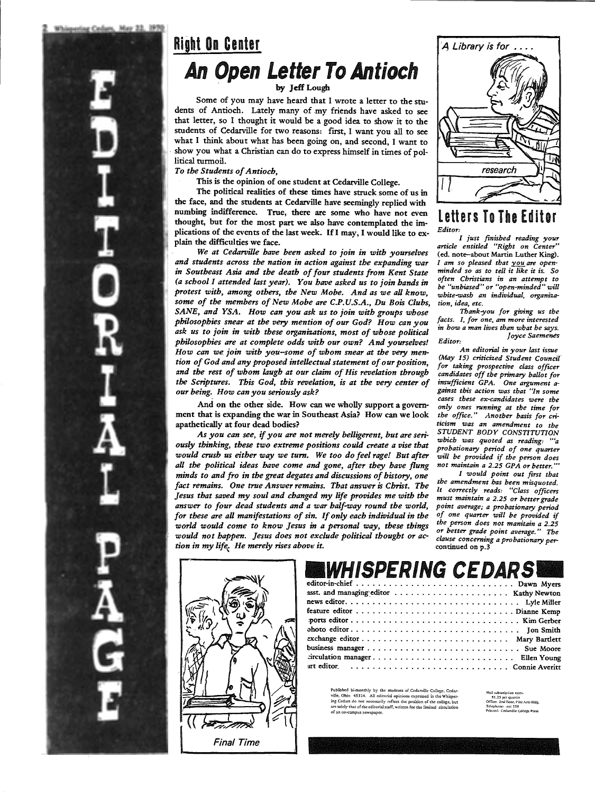# Right On Center An Open Letter To Antioch

by Jeff Lough

Some of you may have heard that I wrote a letter to the students of Antioch. Lately many of my friends have asked to see that letter, so I thought it would be a good idea to show it to the students of Cedarville for two reasons: first, I want you all to see what I think about what has been going on, and second, I want to show you what a Christian can do to express himself in times of pollitical turmoil.

*To the Students of Antioch,* 

This is the opinion of one student at Cedarville College.

The political realities of these times have struck some of us in the face, and the students at Cedarville have seemingly replied with numbing indifference. True, there are some who have not even thought, but for the most part we also have contemplated the im<sup>p</sup>lications of the events of the last week. If I may, I would like to explain the difficulties we face.

*We at Cedarville have been asked to join in with yourselves and students across the nation in action against the expanding war in Southeast Asia and the death of four students from Kent State (a school I attended last year). You have asked us to join bands in protest with, among others, the New Mobe. And as we all know, some of the members of New Mobe are C.P.U.S.A., Du Bois Clubs, SANE, and YSA.. How can you ask us to join with groups whose philosophies snear at the very mention of our God? How can you ask us to join in with these organizations, most of whose political philosophies are at complete odds with our own? And yourselves! How can we join with you-some of whom snear at the very mention of God and any proposed intellectual statement of our position, and the rest of whom laugh at our claim of His revelation through the Scriptures. This God, this revelation, is at the very center of our being. How can you seriously ask?* 

And on the other side. How can we wholly support a government that is expanding the war in Southeast Asia? How can we look apathetically at four dead bodies?

*As you can see, if you are not merely belligerent, but are seriously thinking, these two extreme positions could create a vise that would crush us either way we turn. We too do feel rage! But after all the political ideas have come and gone, after they have flung minds to and fro in the great degates and discussions of history, one fact remains. One true Answer remains. That answer is Christ. The Jesus that saved my soul and changed my life provides me with the answer to four dead students and a war half-way round the world, for these are all manifestations of sin. If only each individual in the world would come to know Jesus in a personal way, these things would not happen. Jesus does not exclude political thought or action in my life. He merely rises above it.* 



# A Library is for .... research

#### Letters To The Editor *Editor:*

*I just finished reading your article entitled "Right on Center"*  (ed. note-about Martin Luther King). *I am so pleased that you are openminded so as to tell it like it is. So often Christians in an attempt to be "unbiased" or "open-minded" will white-wash an individual, organization, idea, etc.* 

*Thank-you for giving us the facts. I, for one, am more interested in bow a man lives than what be says. Joyce Saemenes Editor:* 

*An editorial in your last issue (May 15) criticized Student Council' for taking prospective class officer candidates off the primary ballot for insufficient GPA. One argument against this action was that "In some cases these ex-candidates were the only ones running at the time for the office." Another basis for criticism was an amendment to the STUDENT BODY CONSTITUTION which was quoted as reading: '"a probationary period of one quarter will be provided if the person does not maintain a 2.25 GPA or better."'* 

*I would point out first that the amendment has been misquoted. lt correctly reads: "Class officers must maintain a 2.25 or better grade point average; a probationary period of one quarter will be provided if the person does not manitain a 2.25 or better grade point average." The clause concerning a probationary per*continued on p.3

#### IWHISPERING CEDARS! editor-in-chief . . . . . . . . . . . . . . . . . . . . . . . . . . . . . Dawn Myers

Published bi-monthly by the students of Cedarville College, Cedar-<br>ville, Ohio 45314. All editorial opinions expressed in the Whisper-<br>ing Cedars do not necessarily refleet the position of the college, but<br>are solely that an on-campus newspaper.

Mail subscription rate S1.25 per quarter<br>Office: 2nd floor, Fine Arts Bldg,<br>Telephone: ext 258<br>Printed: Cedarville College Press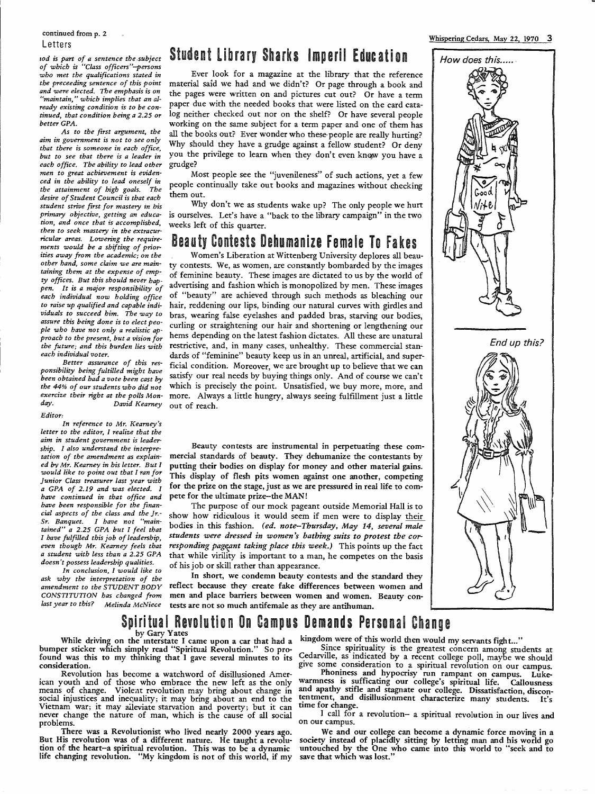#### continued from p. 2 Letters

*iod is part of a sentence the .subject of which is "Class officers"-persons who met the qualifications stated in the preceeding sentence of this point and were elected. The emphasis is on "maintain," which implies that an already existing condition is to be continued, that condition being a 2.25 or better GPA.* 

*As to the first argument, the aim in government is not to see only that there is someone in each office, but to see that there is a leader in each office. The ability to lead other men to great achievement is evidenced in the ability to lead oneself in the attainment of high goals. The desire of Student Council is that each student strive first for mastery in bis primary objective, getting an education, and once that is accomplished, then to seek mastery in the extracurricular areas. Lowering the requirements would be a shifting of priorities away from the academic; on the other band, some claim we are maintaining them at the expense of empty offices. But this should never happen. It is a major responsibility of each individual now holding office to raise up qualified and capable individuals to succeed him. The way to assure this being done is to elect people who have not only a realistic approach to the present, but a vision for the future; and this burden lies with each individual voter.* 

*Better assurance of this responsibility being fultilled might have been obtained bad a vote been cast by the 44% of our students who did not exercize their right at the polls Monday. David Kearney* 

#### *Editor:*

*In reference to Mr. Kearney's letter to the editor, I realize that the aim in student government is leadership. I also understand the interpretation of the amendment as explained bv Mr. Kearnev in bis letter. But I would like to point out that I ran for Junior Class treasurer last year with a GPA of 2.19 and was elected. I have continued in that office and have been responsible for the financial aspects of the class and the Jr.- Sr. Banquet. I have not "maintained" a 2.25 GPA but I feel that I have fulfilled this job of leadership, even though Mr. Kearney feels that <sup>a</sup>student with less than a 2.25 GPA doesn't possess leadership qualities.* 

*In conclusion, I would like to ask why the interpretation of the amendment to the STUDENT BODY CONSTITUTION bas changed from last year to this? Melinda McNiece* 

#### Student Library Sharks Imperil Education

Ever look for a magazine at the library that the reference material said we had and we didn't? Or page through a book and the pages were written on and pictures cut out? Or have a term paper due with the needed books that were listed on the card catalog neither checked out nor on the shelf? Or have several people working on the same subject for a term paper and one of them has all the books out? Ever wonder who these-people are really hurting? Why should they have a grudge against a fellow student? Or deny you the privilege to learn when they don't even know you have a grudge?

Most people see the "juvenileness" of such actions, yet a few people continually take out books and magazines without checking them out.

Why don't we as students wake up? The only people we hurt is ourselves. Let's have a "back to the library campaign" in the two weeks left of this quarter.

#### Beauty Contests Dehumanize Female To Fakes

Women's Liberation at Wittenberg University deplores all beauty contests. We, as women, are constantly bombarded by the images of feminine beauty. These images are dictated to us by the world of advertising and fashion which is monopolized by men. These images of "beauty" are achieved through such methods as bleaching our hair, reddening our lips, binding our natural curves with girdles and bras, wearing false eyelashes and padded bras, starving our bodies, curling or straightening our hair and shortening or lengthening our hems depending on the latest fashion dictates. All these are unatural restrictive, and, in many cases, unhealthy. These commercial standards of "feminine" beauty keep us in an unreal, artificial, and superficial condition. Moreover, we are brought up to believe that we can satisfy our real needs by buying things only. And of course we can't which is precisely the point. Unsatisfied, we buy more, more, and more. Always a little hungry, always seeing fulfillment just a little out of reach.

#### Beauty contests are instrumental in perpetuating these commercial standards of beauty. They dehumanize the contestants by putting their bodies on display for money and other material gains. This display of flesh pits women against one another, competing for the prize on the stage, just as we are pressured in real life to compete for the ultimate prize--the MAN!

The purpose of our mock pageant outside Memorial Hall is to show how ridiculous it would seem if men were to display their bodies in this fashion. *(ed. note--Thursday, May 14, several male students were dressed in women's bathing suits to protest the corresponding pageant taking place this week.*) This points up the fact that while virility is important to a man, he competes on the basis of his job or skill rather than appearance.

In short, we condemn beauty contests and the standard they reflect because they create fake differences between women and men and place barriers between women and women. Beauty contests are not so much antifemale as they are antihuman.

#### Whispering Cedars, May 22, 1970 3



Spiritual Revolution On Campus Demands Personal Change<br>by Gary Yates<br>while driving on the interstate I came upon a car that had a kingdom were of this world then would my servants fight..."<br>bumper sticker which simply read

Vietnam war; it may alleviate starvation and poverty; but it can time for change.<br>The star war; it may alleviate starvation and poverty; but it can time for change.<br>never change the nature of man, which is the cause of all never change the nature of man, which is the cause of all social and problems.<br>I call for a revolution- a spiritual revolution in our lives and<br>I call for a revolution- a spiritual revolution in our lives and<br>problems.<br>The

But His revolution was of a different nature. He taught a revolu-<br>tion of the heart-a spiritual revolution. This was to be a dynamic untouched by the One who came into this world to "seek and to<br>life changing revolution. " tion of the heart-a spiritual revolution. This was to be a dynamic life changing revolution. "My kingdom is not of this world, if my

bumper sticker which simply read spiritual revolution. So pro-<br>found was this to my thinking that I gave several minutes to its Cedarville, as indicated by a recent college poll, maybe we should<br>consideration. The second c social injustices and inequality; it may bring about an end to the tentment, and disillusionment characterize many students. It's Vietnam war: it may aileviate starvation and noverty; but it can time for change.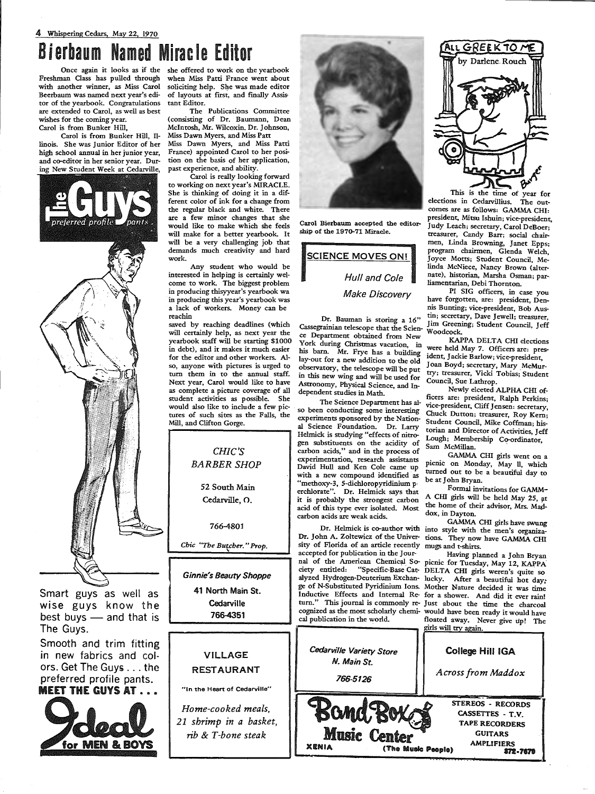## Bierbaum Named Miracle Editor

Danie

Freshman Class has pulled through with another winner, as Miss Carol Beerbaum was named next year's editor of the yearbook. Congratulations are extended to Carol, as well as best wishes for the coming year. Carol is from Bunker Hill,

Carol is from Bunker Hill, Illinois. She was Junior Editor of her high school annual in her junior year, and co-editor in her senior year. During New Student Week at Cedarville,

referred profile

Smart guys as well as wise guys know the best buys  $-$  and that is The Guys.

Smooth and trim fitting in new fabrics and colors. Get The Guys ... the preferred profile pants. **MEET THE GUYS AT...** 



Once again it looks as if the she offered to work on the yearbook when Miss Patti France went about soliciting help. She was made editor of layouts at first, and finally Assistant Editor.

The Publications Committee (consisting of Dr. Baumann, Dean Mcintosh, Mr. Wilcoxin. Dr. Johnson, Miss Dawn Myers, and Miss Patt

Miss Dawn Myers, and Miss Patti France) appointed Carol to her position on the basis of her application, past experience, and ability.

Carol is really looking forward to working on next year's MIRACLE. She is thinking of doing it in a different color of ink for a change from the regular black and white. There are a few minor changes that she would like to make which she feels will make for a better yearbook. It will be a very challenging job that demands much creativity and hard work.

Any student who would be interested in helping is certainly welcome to work. The biggest problem in producing thisyyear's yearbook wa in producing this year's yearbook was a lack of workers. Money can be re a chin

saved by reaching deadlines (which will certainly help, as next year the yearbook staff will be starting \$1000 in debt), and it makes it much easier for the editor and other workers. Also, anyone with pictures is urged to tum them in to the annual staff. Next year, Carol would like to have as complete a picture coverage of all student activities as possible. She would also like to include a few pictures of such sites as the Falls, the Mill, and Clifton Gorge.



*Chic* "The Butcher." Prop.

*Ginnie's Beauty Shoppe* 

41 North Main St. **Cedarville** 766-4351



"In the Heart of Cedarville"'

*Home-cooked meals, 21 shrimp in a basket, rib* & *T-bone steak* 



Cassegrainian telescope that the Science Department obtained from New Ce Department obtained from New<br>York during Christmas vacation, in were held May 7. Officers are: preshis barn. Mr. Frye has a building  $\frac{1}{1}$  were held  $\frac{1}{1}$  and  $\frac{1}{2}$ . Officers are: pres-<br>lay-out for a new addition to the old lay-out for a new addition to the old loan Boyd; secretary, Mary McMur-<br>observatory, the telescone will be out. Joan Boyd; secretary, Mary McMurin this new wing and will be used for try; treasurer, VICKI<br>Astronomy, Physical Science and  $x$ Astronomy, Physical Science, and In-<br>dependent studies in Methods and In-<br>Newly elected ALPHA CHI of-

al Science Foundation. Dr. Larry torian and Director of Activities, Jeff<br>Helmick is studying "effects of nitro-Lough; Membership Co-ordinator,<br>gen substituents on the acidity of  $S_{\text{max}}$  Membership Co-ordinator, gen substituents on the acidity of Sam McMillan.<br>
carbon acids," and in the process of GAMMA CHI girls went on a experimentation, research assistants<br>David Hull and Ken Cole came up with a new compound identified as  $\frac{u \text{ true}}{u}$  out to be  $\frac{u \text{ true}}{u}$  out to be "methoxy-3, 5-dichloropyridinium  $p_1$ <sup>be at John Bryan.</sup> erchlorate". Dr. Helmick says that Formal invitations for GAMMit is probably the strongest carbon A CHI girls will be held May 25, at acid of this type ever isolated Most the home of their advisor, Mrs. Madacid of this type ever isolated. Most the home of the carbon acids are weak acids carbon acids are weak acids.

Dr. John A. Zoltewicz of the Univer- tions. They now have GAMMA CHI sity of Florida of an atticle recently mugs and t-shirts. accepted for publication in the Jour-<br>nal of the American Chemical So- picnic for Tuesday May 12 KAPPA nal of the American Chemical So- picnic for Tuesday, May 12, KAPPA<br>ciety entitled: "Specific-Base Cat- DELTA CHI girls weren's quite so ciety entitled: "Specific-Base Cat- DELTA CHI girls weren's quite so alyzed Hydrogen-Deuterium Exchan- lucky. After a beautiful hot day; Inductive Effects and Internal Re- for a shower. And did it ever rain!<br>turn." This journal is commonly re- Just about the time the charcoal turn." This journal is commonly re- Just about the time the charcoal cognized as the most scholarly chemi- would have been ready it would have



elections in Cedarvillius. The outcomes are as follows: GAMMA CHI: president, Mitsu Ishuin; vice-president, Carol Bierbaum accepted the editor-<br>ship of the 1970-71 Miracle treasurer, Candy Barr; social chairmen, Linda Browning, Janet Epps; SCIENCE MOVES ON! program chairmen, Glenda Welch, linda McNiece, Nancy Brown (alter-Hull and Cole nate), historian, Marsha Osman; parliamentarian, Debi Thornton.

Make Discovery PI SIG officers, in case you have forgotten, are: president, Dennis Bunting; vice-president, Bob Aus-Dr. Bauman is storing a 16" tin; secretary, Dave Jewell; treasurer, Jim Greening; Student Council, Jeff<br>Woodcock.

observatory, the telescope will be put  $\frac{1}{2}$  Joan Boyd; secretary, Mary McMur-<br>in this new wing and will be used for  $\frac{1}{2}$  try; treasurer, Vicki Tobias; Student

dependent studies in Math. The Science Department has al-The Science Department has all these are: president, Cliff Jensen: secretary,<br>so been conducting some interesting Chuck Dutton; treasurer, Roy Kern;<br>experiments sponsored by the Nation-Student Council, Mike Coffman; his-<br>a

picnic on Monday, May 11, which<br>turned out to be a beautiful day to

GAMMA CHI girls have swung Dr. Helmick is co-author with into style with the men's organiza-

Mother Nature decided it was time cognized as the most scholarly chemi- would have been ready it would have cal publication in the world. floated away. Never give up! The cal publication in the model of the floated away. Never give up! The girls will try again.

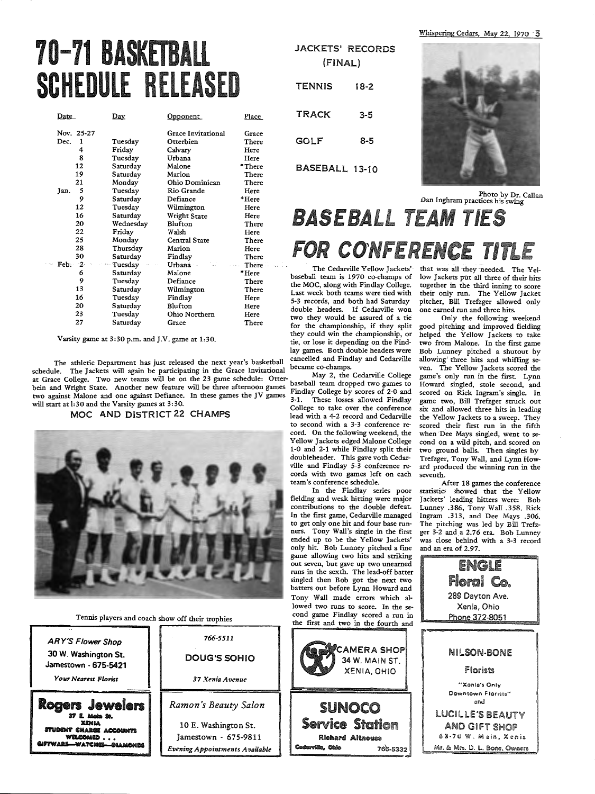# 70-71 BASKETBALL SCHEDULE RELEASED

| Date        | <u>Day</u> | <u>Opponent</u>    | Place    |
|-------------|------------|--------------------|----------|
| Nov. 25-27  |            | Grace Invitational | Grace    |
| Dec.<br>1   | Tuesday    | Otterbien          | There    |
| 4           | Friday     | Calvary            | Here     |
| 8           | Tuesday    | Urbana             | Here     |
| 12          | Saturday   | Malone             | *There   |
| 19          | Saturday   | Marion             | There    |
| 21          | Monday     | Ohio Dominican     | There    |
| 5<br>Jan.   | Tuesday    | Rio Grande         | Here     |
| 9           | Saturday   | Defiance           | $*$ Here |
| 12          | Tuesday    | Wilmington         | Here     |
| 16          | Saturday   | Wright State       | Here     |
| 20          | Wednesday  | Blufton            | There    |
| 22          | Friday     | Walsh              | Here     |
| 25          | Monday     | Central State      | There    |
| 28          | Thursday   | Marion             | Here     |
| 30          | Saturday   | Findlay            | There    |
| Feb.<br>-2- | Tuesday    | Urbana             | There    |
| 6           | Saturday   | Malone             | *Here    |
| 9           | Tuesday    | Defiance           | There    |
| 13          | Saturday   | Wilmington         | There    |
| 16          | Tuesday    | Findlay            | Here     |
| 20          | Saturday   | Blufton            | Here     |
| 23          | Tuesday    | Ohio Northern      | Here     |
| 27          | Saturday   | Grace              | There    |

Varsity game at 3:30 p.m. and J.V. game at 1:30.

The athletic Department has just released the next year's basketball cancelied and rindiay and Cedarville<br>schedule. The Jackets will again be participating in the Grace Invitational became co-champs.<br>at Grace College. Two at Grace College. Two new teams will be on the 23 game schedule: Otter-<br>bein and Wright State. Another new feature will be three afternoon games Findlay College by scores of 2-0 and two against Malone and one against Defiance. In these games the JV games 3-1. These losses allowed Findlay will start at l:30 and the Varsity games at 3:30. College to take over the conference



Tennis players and coach show off their trophies

| <b>ARY'S Flower Shop</b><br>30 W. Washington St.<br>Jamestown - 675-5421<br>Your Nearest Florist                | 766-5511<br><b>DOUG'S SOHIO</b><br>37 Xenia Avenue                                                     |
|-----------------------------------------------------------------------------------------------------------------|--------------------------------------------------------------------------------------------------------|
| Rogers Jewelers<br>27 K. Moham Str.<br>XEMIA<br>STUDENT CHARGE ACCOUNTS<br>WELCOMED<br>&IFTWARE—WATCHE—OIAMONDS | Ramon's Beauty Salon<br>10 E. Washington St.<br>Jamestown - 675-9811<br>Evening Appointments Available |

| (FINAL)       | JACKETS' RECORDS |
|---------------|------------------|
|               |                  |
| <b>TENNIS</b> | 18-2             |
| <b>TRACK</b>  | 3-5              |
|               |                  |

BASEBALL 13-10

GOLF 8-5



Photo by Dr. Callan *Dan* Inghram practices his swing

# BASEBALL TEAM TIES FOR CONFERENCE TITLE

The Cedarville Yellow Jackets' baseball team is 1970 co-champs of the MOC, along with Findlay College. Last week both teams were tied with 5-3 records, and both had Saturday double headers. If Cedarville won two they would be assured of a tie for the championship, if they split they could win the championship, or tie, or lose it depending on the Findlay games. Both double headers were<br>cancelled and Findlay and Cedarville

1:50 and the varsity games at 5:50.<br>MOC AND DISTRICT 22 CHAMPS lead with a 4-2 record and Cedarville to second with a 3-3 conference record. On the following weekend, the Yellow Jackets edged Malone College 1-0 and 2-1 while Findlay split their doubleheader. This gave voth Cedarville and Findlay 5-3 conference records with two games left on each team's conference schedule.

In the Findlay series poor fielding and weak hitting were major contributions to the double defeat. In the first game, Cedarville managed to get only one hit and four base runners. Tony Wall's single in the first ended up to be the Yellow Jackets' only hit. Bob Lunney pitched a fine game allowing two hits and striking out seven, but gave up two unearned runs in the sexth. The lead-off batter singled then Bob got the next two batters out before Lynn Howard and Tony Wall made errors which allowed two runs to score. In the second game Findlay scored a run in the first and two in the fourth and

that was all they needed. The Yellow Jackets put all three of their hits together in the third inning to score their only run. The Yellow Jacket <sup>p</sup>itcher, Bill Trefzger allowed only one earned run and three hits.

Only the following weekend good pitching and improved fielding helped the Yellow Jackets to take two from Malone. In the first game Bob Lunney pitched a shutout by allowing' three hits and whiffing seven. The Yellow Jackets scored the game's only run in the first. Lynn Howard singled, stole second, and scored on Rick Ingram's single. In game two, Bill Trefzger struck out six and allowed three hits in leading the Yellow Jackets to a sweep. They scored their first run in the fifth when Dee Mays singled, went to second on a wild pitch, and. scored on two ground balls. Then singles by Trefzger, Tony Wall, and Lynn Howard produced the winning run in the seventh.

After 18 games the conference statistics showed that the Yellow Jackets' leading hitters were: Bob Lunney .386, Tony Wall .358. Rick Ingram .313, and Dee Mays .306. The pitching was led by Bill Trefzger 3-2 and a 2.76 era. Bob Lunney was close behind with a 3-3 record and an era of 2.97.